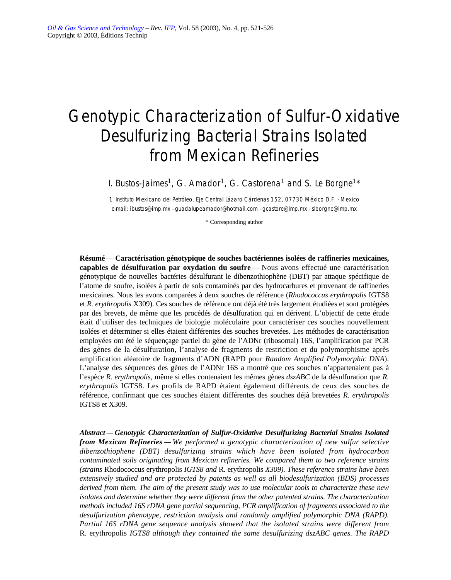# Genotypic Characterization of Sulfur-Oxidative Desulfurizing Bacterial Strains Isolated from Mexican Refineries

I. Bustos-Jaimes<sup>1</sup>, G. Amador<sup>1</sup>, G. Castorena<sup>1</sup> and S. Le Borgne<sup>1\*</sup>

*1 Instituto Mexicano del Petróleo, Eje Central Lázaro Cárdenas 152, 07730 México D.F. - Mexico e-mail: ibustos@imp.mx - guadalupeamador@hotmail.com - gcastore@imp.mx - slborgne@imp.mx*

\* Corresponding author

**Résumé** — **Caractérisation génotypique de souches bactériennes isolées de raffineries mexicaines, capables de désulfuration par oxydation du soufre** — Nous avons effectué une caractérisation génotypique de nouvelles bactéries désulfurant le dibenzothiophène (DBT) par attaque spécifique de l'atome de soufre, isolées à partir de sols contaminés par des hydrocarbures et provenant de raffineries mexicaines. Nous les avons comparées à deux souches de référence (*Rhodococcus erythropolis* IGTS8 et *R. erythropolis* X309). Ces souches de référence ont déjà été très largement étudiées et sont protégées par des brevets, de même que les procédés de désulfuration qui en dérivent. L'objectif de cette étude était d'utiliser des techniques de biologie moléculaire pour caractériser ces souches nouvellement isolées et déterminer si elles étaient différentes des souches brevetées. Les méthodes de caractérisation employées ont été le séquençage partiel du gène de l'ADNr (ribosomal) 16S, l'amplification par PCR des gènes de la désulfuration, l'analyse de fragments de restriction et du polymorphisme après amplification aléatoire de fragments d'ADN (RAPD pour *Random Amplified Polymorphic DNA*). L'analyse des séquences des gènes de l'ADNr 16S a montré que ces souches n'appartenaient pas à l'espèce *R. erythropolis,* même si elles contenaient les mêmes gènes *dszABC* de la désulfuration que *R. erythropolis* IGTS8. Les profils de RAPD étaient également différents de ceux des souches de référence, confirmant que ces souches étaient différentes des souches déjà brevetées *R. erythropolis* IGTS8 et X309.

*Abstract — Genotypic Characterization of Sulfur-Oxidative Desulfurizing Bacterial Strains Isolated from Mexican Refineries — We performed a genotypic characterization of new sulfur selective dibenzothiophene (DBT) desulfurizing strains which have been isolated from hydrocarbon contaminated soils originating from Mexican refineries. We compared them to two reference strains (strains* Rhodococcus erythropolis *IGTS8 and* R. erythropolis *X309). These reference strains have been extensively studied and are protected by patents as well as all biodesulfurization (BDS) processes derived from them. The aim of the present study was to use molecular tools to characterize these new isolates and determine whether they were different from the other patented strains. The characterization methods included 16S rDNA gene partial sequencing, PCR amplification of fragments associated to the desulfurization phenotype, restriction analysis and randomly amplified polymorphic DNA (RAPD). Partial 16S rDNA gene sequence analysis showed that the isolated strains were different from* R. erythropolis *IGTS8 although they contained the same desulfurizing dszABC genes. The RAPD*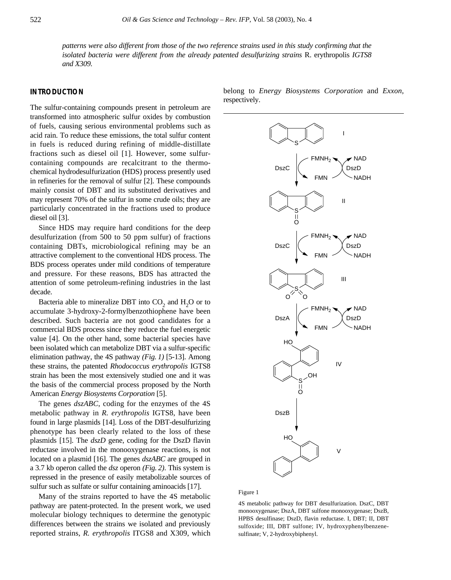*patterns were also different from those of the two reference strains used in this study confirming that the isolated bacteria were different from the already patented desulfurizing strains* R. erythropolis *IGTS8 and X309.*

# **INTRODUCTION**

The sulfur-containing compounds present in petroleum are transformed into atmospheric sulfur oxides by combustion of fuels, causing serious environmental problems such as acid rain. To reduce these emissions, the total sulfur content in fuels is reduced during refining of middle-distillate fractions such as diesel oil [1]. However, some sulfurcontaining compounds are recalcitrant to the thermochemical hydrodesulfurization (HDS) process presently used in refineries for the removal of sulfur [2]. These compounds mainly consist of DBT and its substituted derivatives and may represent 70% of the sulfur in some crude oils; they are particularly concentrated in the fractions used to produce diesel oil [3].

Since HDS may require hard conditions for the deep desulfurization (from 500 to 50 ppm sulfur) of fractions containing DBTs, microbiological refining may be an attractive complement to the conventional HDS process. The BDS process operates under mild conditions of temperature and pressure. For these reasons, BDS has attracted the attention of some petroleum-refining industries in the last decade.

Bacteria able to mineralize DBT into  $CO<sub>2</sub>$  and  $H<sub>2</sub>O$  or to accumulate 3-hydroxy-2-formylbenzothiophene have been described. Such bacteria are not good candidates for a commercial BDS process since they reduce the fuel energetic value [4]. On the other hand, some bacterial species have been isolated which can metabolize DBT via a sulfur-specific elimination pathway, the 4S pathway *(Fig. 1)* [5-13]. Among these strains, the patented *Rhodococcus erythropolis* IGTS8 strain has been the most extensively studied one and it was the basis of the commercial process proposed by the North American *Energy Biosystems Corporation* [5].

The genes *dszABC*, coding for the enzymes of the 4S metabolic pathway in *R. erythropolis* IGTS8, have been found in large plasmids [14]. Loss of the DBT-desulfurizing phenotype has been clearly related to the loss of these plasmids [15]. The *dszD* gene, coding for the DszD flavin reductase involved in the monooxygenase reactions, is not located on a plasmid [16]. The genes *dszABC* are grouped in a 3.7 kb operon called the *dsz* operon *(Fig. 2)*. This system is repressed in the presence of easily metabolizable sources of sulfur such as sulfate or sulfur containing aminoacids [17].

Many of the strains reported to have the 4S metabolic pathway are patent-protected. In the present work, we used molecular biology techniques to determine the genotypic differences between the strains we isolated and previously reported strains, *R. erythropolis* ITGS8 and X309, which belong to *Energy Biosystems Corporation* and *Exxon*, respectively.



Figure 1

4S metabolic pathway for DBT desulfurization. DszC, DBT monooxygenase; DszA, DBT sulfone monooxygenase; DszB, HPBS desulfinase; DszD, flavin reductase. I, DBT; II, DBT sulfoxide; III, DBT sulfone; IV, hydroxyphenylbenzenesulfinate; V, 2-hydroxybiphenyl.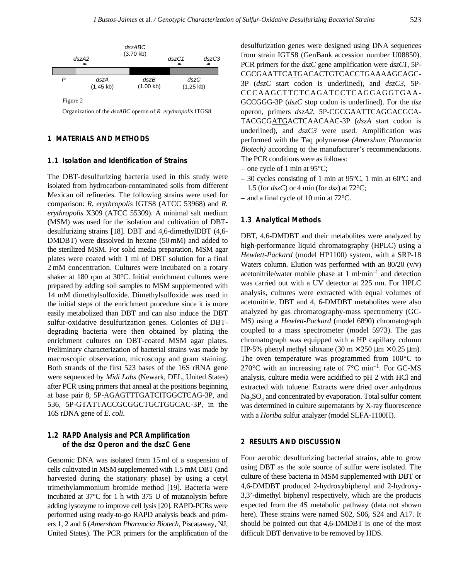

# **1 MATERIALS AND METHODS**

#### **1.1 Isolation and Identification of Strains**

The DBT-desulfurizing bacteria used in this study were isolated from hydrocarbon-contaminated soils from different Mexican oil refineries. The following strains were used for comparison: *R. erythropolis* IGTS8 (ATCC 53968) and *R. erythropolis* X309 (ATCC 55309). A minimal salt medium (MSM) was used for the isolation and cultivation of DBTdesulfurizing strains [18]. DBT and 4,6-dimethylDBT (4,6- DMDBT) were dissolved in hexane (50 mM) and added to the sterilized MSM. For solid media preparation, MSM agar plates were coated with 1 ml of DBT solution for a final 2 mM concentration. Cultures were incubated on a rotary shaker at 180 rpm at 30°C. Initial enrichment cultures were prepared by adding soil samples to MSM supplemented with 14 mM dimethylsulfoxide. Dimethylsulfoxide was used in the initial steps of the enrichment procedure since it is more easily metabolized than DBT and can also induce the DBT sulfur-oxidative desulfurization genes. Colonies of DBTdegrading bacteria were then obtained by plating the enrichment cultures on DBT-coated MSM agar plates. Preliminary characterization of bacterial strains was made by macroscopic observation, microscopy and gram staining. Both strands of the first 523 bases of the 16S rRNA gene were sequenced by *Midi Labs* (Newark, DEL, United States) after PCR using primers that anneal at the positions beginning at base pair 8, 5P-AGAGTTTGATCITGGCTCAG-3P, and 536, 5P-GTATTACCGCGGCTGCTGGCAC-3P, in the 16S rDNA gene of *E. coli*.

# **1.2 RAPD Analysis and PCR Amplification of the** *dsz* **Operon and the** *dszC* **Gene**

Genomic DNA was isolated from 15 ml of a suspension of cells cultivated in MSM supplemented with 1.5 mM DBT (and harvested during the stationary phase) by using a cetyl trimethylammonium bromide method [19]. Bacteria were incubated at 37°C for 1 h with 375 U of mutanolysin before adding lysozyme to improve cell lysis [20]. RAPD-PCRs were performed using ready-to-go RAPD analysis beads and primers 1, 2 and 6 (*Amersham Pharmacia Biotech*, Piscataway, NJ, United States). The PCR primers for the amplification of the desulfurization genes were designed using DNA sequences from strain IGTS8 (GenBank accession number U08850). PCR primers for the *dszC* gene amplification were *dszC1*, 5P-CGCGAATTCATGACACTGTCACCTGAAAAGCAGC-3P (*dszC* start codon is underlined), and *dszC3*, 5P-CCCAAGCTTCTCAGATCCTCAGGAGGTGAA-GCCGGG-3P (*dszC* stop codon is underlined). For the *dsz* operon, primers *dszA2*, 5P-CGCGAATTCAGGACGCA-TACGCGATGACTCAACAAC-3P (*dszA* start codon is underlined), and *dszC3* were used. Amplification was performed with the Taq polymerase *(Amersham Pharmacia Biotech)* according to the manufacturer's recommendations. The PCR conditions were as follows:

- one cycle of 1 min at  $95^{\circ}$ C;
- 30 cycles consisting of 1 min at  $95^{\circ}$ C, 1 min at  $60^{\circ}$ C and 1.5 (for *dszC*) or 4 min (for *dsz*) at 72°C;
- and a final cycle of 10 min at 72°C.

## **1.3 Analytical Methods**

DBT, 4,6-DMDBT and their metabolites were analyzed by high-performance liquid chromatography (HPLC) using a *Hewlett-Packard* (model HP1100) system, with a SRP-18 Waters column. Elution was performed with an 80/20 (v/v) acetonitrile/water mobile phase at 1 ml·min–1 and detection was carried out with a UV detector at 225 nm. For HPLC analysis, cultures were extracted with equal volumes of acetonitrile. DBT and 4, 6-DMDBT metabolites were also analyzed by gas chromatography-mass spectrometry (GC-MS) using a *Hewlett-Packard* (model 6890) chromatograph coupled to a mass spectrometer (model 5973). The gas chromatograph was equipped with a HP capillary column HP-5% phenyl methyl siloxane (30 m  $\times$  250 µm  $\times$  0.25 µm). The oven temperature was programmed from 100°C to 270 $\rm ^{\circ}C$  with an increasing rate of 7 $\rm ^{\circ}C$  min<sup>-1</sup>. For GC-MS analysis, culture media were acidified to pH 2 with HCl and extracted with toluene. Extracts were dried over anhydrous  $Na<sub>2</sub>SO<sub>4</sub>$  and concentrated by evaporation. Total sulfur content was determined in culture supernatants by X-ray fluorescence with a *Horiba* sulfur analyzer (model SLFA-1100H).

# **2 RESULTS AND DISCUSSION**

Four aerobic desulfurizing bacterial strains, able to grow using DBT as the sole source of sulfur were isolated. The culture of these bacteria in MSM supplemented with DBT or 4,6-DMDBT produced 2-hydroxybiphenyl and 2-hydroxy-3,3'-dimethyl biphenyl respectively, which are the products expected from the 4S metabolic pathway (data not shown here). These strains were named S02, S06, S24 and A17. It should be pointed out that 4,6-DMDBT is one of the most difficult DBT derivative to be removed by HDS.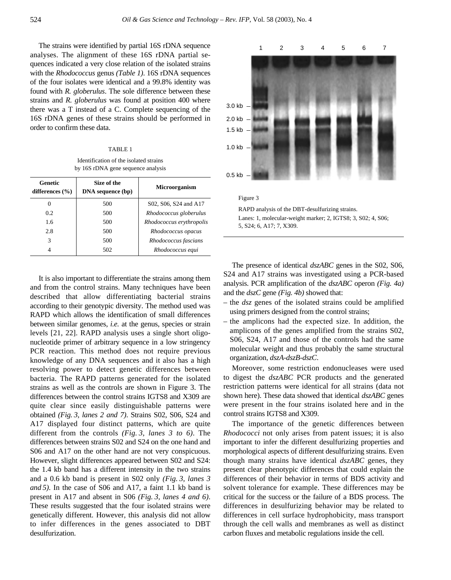The strains were identified by partial 16S rDNA sequence analyses. The alignment of these 16S rDNA partial sequences indicated a very close relation of the isolated strains with the *Rhodococcus* genus *(Table 1)*. 16S rDNA sequences of the four isolates were identical and a 99.8% identity was found with *R. globerulus*. The sole difference between these strains and *R. globerulus* was found at position 400 where there was a T instead of a C. Complete sequencing of the 16S rDNA genes of these strains should be performed in order to confirm these data.

TABLE 1

Identification of the isolated strains by 16S rDNA gene sequence analysis

| Genetic<br>differences $(\% )$ | Size of the<br>DNA sequence (bp) | <b>Microorganism</b>     |
|--------------------------------|----------------------------------|--------------------------|
| $_{0}$                         | 500                              | S02, S06, S24 and A17    |
| 0.2                            | 500                              | Rhodococcus globerulus   |
| 1.6                            | 500                              | Rhodococcus erythropolis |
| 2.8                            | 500                              | Rhodococcus opacus       |
| 3                              | 500                              | Rhodococcus fascians     |
|                                | 502                              | Rhodococcus equi         |

It is also important to differentiate the strains among them and from the control strains. Many techniques have been described that allow differentiating bacterial strains according to their genotypic diversity. The method used was RAPD which allows the identification of small differences between similar genomes, *i.e.* at the genus, species or strain levels [21, 22]. RAPD analysis uses a single short oligonucleotide primer of arbitrary sequence in a low stringency PCR reaction. This method does not require previous knowledge of any DNA sequences and it also has a high resolving power to detect genetic differences between bacteria. The RAPD patterns generated for the isolated strains as well as the controls are shown in Figure 3. The differences between the control strains IGTS8 and X309 are quite clear since easily distinguishable patterns were obtained *(Fig. 3, lanes 2 and 7)*. Strains S02, S06, S24 and A17 displayed four distinct patterns, which are quite different from the controls *(Fig. 3, lanes 3 to 6)*. The differences between strains S02 and S24 on the one hand and S06 and A17 on the other hand are not very conspicuous. However, slight differences appeared between S02 and S24: the 1.4 kb band has a different intensity in the two strains and a 0.6 kb band is present in S02 only *(Fig. 3, lanes 3 and 5)*. In the case of S06 and A17, a faint 1.1 kb band is present in A17 and absent in S06 *(Fig. 3, lanes 4 and 6)*. These results suggested that the four isolated strains were genetically different. However, this analysis did not allow to infer differences in the genes associated to DBT desulfurization.



The presence of identical  $dszABC$  genes in the S02, S06, S24 and A17 strains was investigated using a PCR-based analysis. PCR amplification of the *dszABC* operon *(Fig. 4a)* and the *dszC* gene *(Fig. 4b)* showed that:

- the *dsz* genes of the isolated strains could be amplified using primers designed from the control strains;
- the amplicons had the expected size. In addition, the amplicons of the genes amplified from the strains S02, S06, S24, A17 and those of the controls had the same molecular weight and thus probably the same structural organization, *dszA-dszB-dszC*.

Moreover, some restriction endonucleases were used to digest the *dszABC* PCR products and the generated restriction patterns were identical for all strains (data not shown here). These data showed that identical *dszABC* genes were present in the four strains isolated here and in the control strains IGTS8 and X309.

The importance of the genetic differences between *Rhodococci* not only arises from patent issues; it is also important to infer the different desulfurizing properties and morphological aspects of different desulfurizing strains. Even though many strains have identical *dszABC* genes, they present clear phenotypic differences that could explain the differences of their behavior in terms of BDS activity and solvent tolerance for example. These differences may be critical for the success or the failure of a BDS process. The differences in desulfurizing behavior may be related to differences in cell surface hydrophobicity, mass transport through the cell walls and membranes as well as distinct carbon fluxes and metabolic regulations inside the cell.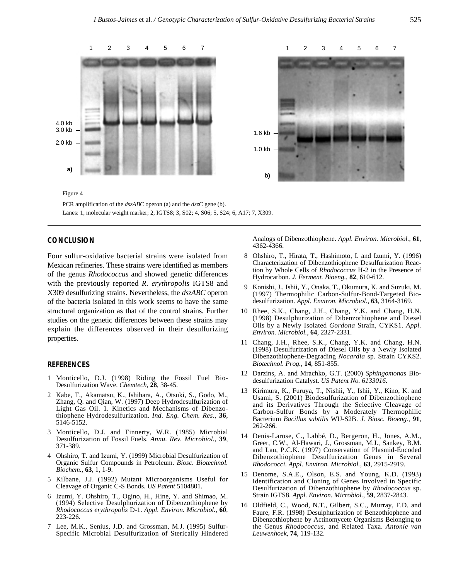

PCR amplification of the *dszABC* operon (a) and the *dszC* gene (b). Lanes: 1, molecular weight marker; 2, IGTS8; 3, S02; 4, S06; 5, S24; 6, A17; 7, X309.

## **CONCLUSION**

Four sulfur-oxidative bacterial strains were isolated from Mexican refineries. These strains were identified as members of the genus *Rhodococcus* and showed genetic differences with the previously reported *R. erythropolis* IGTS8 and X309 desulfurizing strains. Nevertheless, the *dszABC* operon of the bacteria isolated in this work seems to have the same structural organization as that of the control strains. Further studies on the genetic differences between these strains may explain the differences observed in their desulfurizing properties.

### **REFERENCES**

- 1 Monticello, D.J. (1998) Riding the Fossil Fuel Bio-Desulfurization Wave. *Chemtech*, **28**, 38-45.
- 2 Kabe, T., Akamatsu, K., Ishihara, A., Otsuki, S., Godo, M., Zhang, Q. and Qian, W. (1997) Deep Hydrodesulfurization of Light Gas Oil. 1. Kinetics and Mechanisms of Dibenzothiophene Hydrodesulfurization. *Ind. Eng. Chem. Res.*, **36**, 5146-5152.
- 3 Monticello, D.J. and Finnerty, W.R. (1985) Microbial Desulfurization of Fossil Fuels. *Annu. Rev. Microbiol.*, **39**, 371-389.
- 4 Ohshiro, T. and Izumi, Y. (1999) Microbial Desulfurization of Organic Sulfur Compounds in Petroleum. *Biosc. Biotechnol. Biochem.*, **63**, 1, 1-9.
- 5 Kilbane, J.J. (1992) Mutant Microorganisms Useful for Cleavage of Organic C-S Bonds. *US Patent* 5104801.
- 6 Izumi, Y. Ohshiro, T., Ogino, H., Hine, Y. and Shimao, M. (1994) Selective Desulphurization of Dibenzothiophene by *Rhodococcus erythropolis* D-1. *Appl. Environ. Microbiol.*, **60**, 223-226.
- 7 Lee, M.K., Senius, J.D. and Grossman, M.J. (1995) Sulfur-Specific Microbial Desulfurization of Sterically Hindered

Analogs of Dibenzothiophene. *Appl. Environ. Microbiol.*, **61**, 4362-4366.

- 08 Ohshiro, T., Hirata, T., Hashimoto, I. and Izumi, Y. (1996) Characterization of Dibenzothiophene Desulfurization Reaction by Whole Cells of *Rhodococcus* H-2 in the Presence of Hydrocarbon. *J. Ferment. Bioeng.*, **82**, 610-612.
- 09 Konishi, J., Ishii, Y., Onaka, T., Okumura, K. and Suzuki, M. (1997) Thermophilic Carbon-Sulfur-Bond-Targeted Biodesulfurization. *Appl. Environ. Microbiol.*, **63**, 3164-3169.
- 10 Rhee, S.K., Chang, J.H., Chang, Y.K. and Chang, H.N. (1998) Desulphurization of Dibenzothiophene and Diesel Oils by a Newly Isolated *Gordona* Strain, CYKS1. *Appl. Environ. Microbiol.*, **64**, 2327-2331.
- 11 Chang, J.H., Rhee, S.K., Chang, Y.K. and Chang, H.N. (1998) Desulfurization of Diesel Oils by a Newly Isolated Dibenzothiophene-Degrading *Nocardia* sp. Strain CYKS2. *Biotechnol. Prog.*, **14**, 851-855.
- 12 Darzins, A. and Mrachko, G.T. (2000) *Sphingomonas* Biodesulfurization Catalyst. *US Patent No. 6133016*.
- 13 Kirimura, K., Furuya, T., Nishii, Y., Ishii, Y., Kino, K. and Usami, S. (2001) Biodesulfurization of Dibenzothiophene and its Derivatives Through the Selective Cleavage of Carbon-Sulfur Bonds by a Moderately Thermophilic Bacterium *Bacillus subtilis* WU-S2B. *J. Biosc. Bioeng.*, **91**, 262-266.
- 14 Denis-Larose, C., Labbé, D., Bergeron, H., Jones, A.M., Greer, C.W., Al-Hawari, J., Grossman, M.J., Sankey, B.M. and Lau, P.C.K. (1997) Conservation of Plasmid-Encoded Dibenzothiophene Desulfurization Genes in Several *Rhodococci*. *Appl. Environ. Microbiol.*, **63**, 2915-2919.
- 15 Denome, S.A.E., Olson, E.S. and Young, K.D. (1993) Identification and Cloning of Genes Involved in Specific Desulfurization of Dibenzothiophene by *Rhodococcus* sp. Strain IGTS8. *Appl. Environ. Microbiol.*, **59**, 2837-2843.
- 16 Oldfield, C., Wood, N.T., Gilbert, S.C., Murray, F.D. and Faure, F.R. (1998) Desulphurization of Benzothiophene and Dibenzothiophene by Actinomycete Organisms Belonging to the Genus *Rhodococcus*, and Related Taxa. *Antonie van Leuwenhoek*, **74**, 119-132.